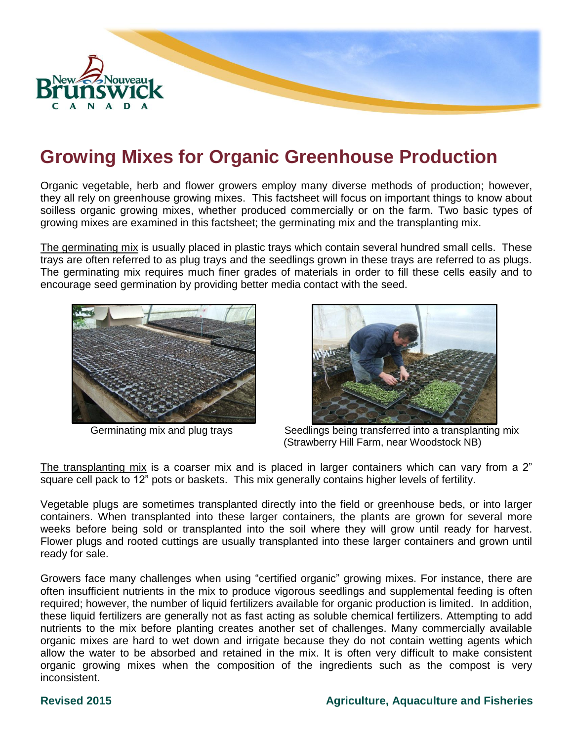

# **Growing Mixes for Organic Greenhouse Production**

Organic vegetable, herb and flower growers employ many diverse methods of production; however, they all rely on greenhouse growing mixes. This factsheet will focus on important things to know about soilless organic growing mixes, whether produced commercially or on the farm. Two basic types of growing mixes are examined in this factsheet; the germinating mix and the transplanting mix.

The germinating mix is usually placed in plastic trays which contain several hundred small cells. These trays are often referred to as plug trays and the seedlings grown in these trays are referred to as plugs. The germinating mix requires much finer grades of materials in order to fill these cells easily and to encourage seed germination by providing better media contact with the seed.





Germinating mix and plug trays Seedlings being transferred into a transplanting mix (Strawberry Hill Farm, near Woodstock NB)

The transplanting mix is a coarser mix and is placed in larger containers which can vary from a 2" square cell pack to 12" pots or baskets. This mix generally contains higher levels of fertility.

Vegetable plugs are sometimes transplanted directly into the field or greenhouse beds, or into larger containers. When transplanted into these larger containers, the plants are grown for several more weeks before being sold or transplanted into the soil where they will grow until ready for harvest. Flower plugs and rooted cuttings are usually transplanted into these larger containers and grown until ready for sale.

Growers face many challenges when using "certified organic" growing mixes. For instance, there are often insufficient nutrients in the mix to produce vigorous seedlings and supplemental feeding is often required; however, the number of liquid fertilizers available for organic production is limited. In addition, these liquid fertilizers are generally not as fast acting as soluble chemical fertilizers. Attempting to add nutrients to the mix before planting creates another set of challenges. Many commercially available organic mixes are hard to wet down and irrigate because they do not contain wetting agents which allow the water to be absorbed and retained in the mix. It is often very difficult to make consistent organic growing mixes when the composition of the ingredients such as the compost is very inconsistent.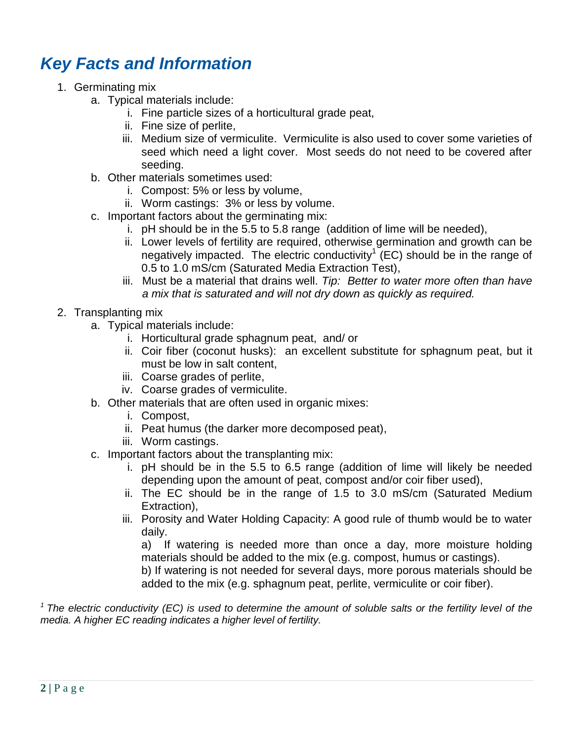## *Key Facts and Information*

- 1. Germinating mix
	- a. Typical materials include:
		- i. Fine particle sizes of a horticultural grade peat,
		- ii. Fine size of perlite,
		- iii. Medium size of vermiculite. Vermiculite is also used to cover some varieties of seed which need a light cover. Most seeds do not need to be covered after seeding.
	- b. Other materials sometimes used:
		- i. Compost: 5% or less by volume,
		- ii. Worm castings: 3% or less by volume.
	- c. Important factors about the germinating mix:
		- i. pH should be in the 5.5 to 5.8 range (addition of lime will be needed),
		- ii. Lower levels of fertility are required, otherwise germination and growth can be negatively impacted. The electric conductivity<sup>1</sup> (EC) should be in the range of 0.5 to 1.0 mS/cm (Saturated Media Extraction Test),
		- iii. Must be a material that drains well. *Tip: Better to water more often than have a mix that is saturated and will not dry down as quickly as required.*
- 2. Transplanting mix
	- a. Typical materials include:
		- i. Horticultural grade sphagnum peat, and/ or
		- ii. Coir fiber (coconut husks): an excellent substitute for sphagnum peat, but it must be low in salt content,
		- iii. Coarse grades of perlite,
		- iv. Coarse grades of vermiculite.
	- b. Other materials that are often used in organic mixes:
		- i. Compost,
		- ii. Peat humus (the darker more decomposed peat),
		- iii. Worm castings.
	- c. Important factors about the transplanting mix:
		- i. pH should be in the 5.5 to 6.5 range (addition of lime will likely be needed depending upon the amount of peat, compost and/or coir fiber used),
		- ii. The EC should be in the range of 1.5 to 3.0 mS/cm (Saturated Medium Extraction),
		- iii. Porosity and Water Holding Capacity: A good rule of thumb would be to water daily.

a) If watering is needed more than once a day, more moisture holding materials should be added to the mix (e.g. compost, humus or castings).

b) If watering is not needed for several days, more porous materials should be added to the mix (e.g. sphagnum peat, perlite, vermiculite or coir fiber).

*<sup>1</sup>The electric conductivity (EC) is used to determine the amount of soluble salts or the fertility level of the media. A higher EC reading indicates a higher level of fertility.*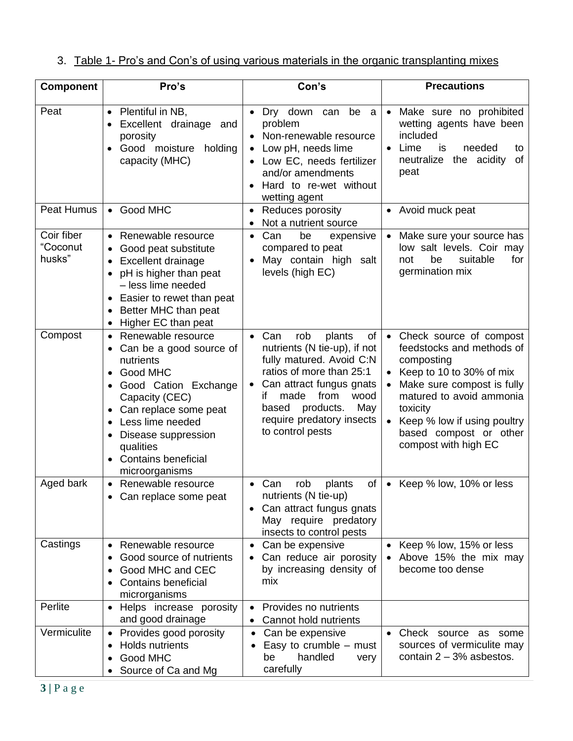|  |  |  |  | 3. Table 1- Pro's and Con's of using various materials in the organic transplanting mixes |  |  |
|--|--|--|--|-------------------------------------------------------------------------------------------|--|--|
|--|--|--|--|-------------------------------------------------------------------------------------------|--|--|

| <b>Component</b>                 | Pro's                                                                                                                                                                                                                                                                                    | Con's                                                                                                                                                                                                                                                                   | <b>Precautions</b>                                                                                                                                                                                                                                                 |
|----------------------------------|------------------------------------------------------------------------------------------------------------------------------------------------------------------------------------------------------------------------------------------------------------------------------------------|-------------------------------------------------------------------------------------------------------------------------------------------------------------------------------------------------------------------------------------------------------------------------|--------------------------------------------------------------------------------------------------------------------------------------------------------------------------------------------------------------------------------------------------------------------|
| Peat                             | Plentiful in NB,<br>$\bullet$<br>Excellent drainage and<br>porosity<br>Good moisture<br>holding<br>$\bullet$<br>capacity (MHC)                                                                                                                                                           | • Dry down can<br>be a<br>problem<br>• Non-renewable resource<br>Low pH, needs lime<br>Low EC, needs fertilizer<br>and/or amendments<br>Hard to re-wet without<br>wetting agent                                                                                         | Make sure no prohibited<br>$\bullet$<br>wetting agents have been<br>included<br>Lime<br>needed<br>is<br>to<br>$\bullet$<br>neutralize<br>the acidity<br>of<br>peat                                                                                                 |
| Peat Humus                       | Good MHC<br>$\bullet$                                                                                                                                                                                                                                                                    | Reduces porosity<br>Not a nutrient source                                                                                                                                                                                                                               | Avoid muck peat<br>$\bullet$                                                                                                                                                                                                                                       |
| Coir fiber<br>"Coconut<br>husks" | Renewable resource<br>$\bullet$<br>Good peat substitute<br>$\bullet$<br><b>Excellent drainage</b><br>pH is higher than peat<br>$\bullet$<br>- less lime needed<br>Easier to rewet than peat<br>$\bullet$<br>Better MHC than peat<br>$\bullet$<br>Higher EC than peat<br>$\bullet$        | Can<br>be<br>expensive<br>$\bullet$<br>compared to peat<br>May contain high salt<br>levels (high EC)                                                                                                                                                                    | Make sure your source has<br>$\bullet$<br>low salt levels. Coir may<br>be<br>suitable<br>for<br>not<br>germination mix                                                                                                                                             |
| Compost                          | Renewable resource<br>$\bullet$<br>Can be a good source of<br>nutrients<br>Good MHC<br>Good Cation Exchange<br>Capacity (CEC)<br>Can replace some peat<br>$\bullet$<br>Less lime needed<br>Disease suppression<br>qualities<br><b>Contains beneficial</b><br>$\bullet$<br>microorganisms | Can<br>rob<br>plants<br>of<br>$\bullet$<br>nutrients (N tie-up), if not<br>fully matured. Avoid C:N<br>ratios of more than 25:1<br>Can attract fungus gnats<br>from<br>made<br>wood<br>if<br>products.<br>May<br>based<br>require predatory insects<br>to control pests | Check source of compost<br>$\bullet$<br>feedstocks and methods of<br>composting<br>Keep to 10 to 30% of mix<br>Make sure compost is fully<br>matured to avoid ammonia<br>toxicity<br>Keep % low if using poultry<br>based compost or other<br>compost with high EC |
| Aged bark                        | Renewable resource<br>Can replace some peat                                                                                                                                                                                                                                              | Can<br>rob<br>of<br>plants<br>nutrients (N tie-up)<br>Can attract fungus gnats<br>May require predatory<br>insects to control pests                                                                                                                                     | Keep % low, 10% or less<br>$\bullet$                                                                                                                                                                                                                               |
| Castings                         | Renewable resource<br>$\bullet$<br>Good source of nutrients<br>Good MHC and CEC<br><b>Contains beneficial</b><br>microrganisms                                                                                                                                                           | • Can be expensive<br>Can reduce air porosity<br>by increasing density of<br>mix                                                                                                                                                                                        | Keep % low, 15% or less<br>Above 15% the mix may<br>become too dense                                                                                                                                                                                               |
| Perlite                          | Helps increase porosity<br>$\bullet$<br>and good drainage                                                                                                                                                                                                                                | Provides no nutrients<br>$\bullet$<br>Cannot hold nutrients                                                                                                                                                                                                             |                                                                                                                                                                                                                                                                    |
| Vermiculite                      | Provides good porosity<br>$\bullet$<br><b>Holds nutrients</b><br>$\bullet$<br>Good MHC<br>$\bullet$<br>Source of Ca and Mg                                                                                                                                                               | Can be expensive<br>$\bullet$<br>Easy to crumble $-$ must<br>handled<br>be<br>very<br>carefully                                                                                                                                                                         | Check source as some<br>sources of vermiculite may<br>contain $2 - 3%$ asbestos.                                                                                                                                                                                   |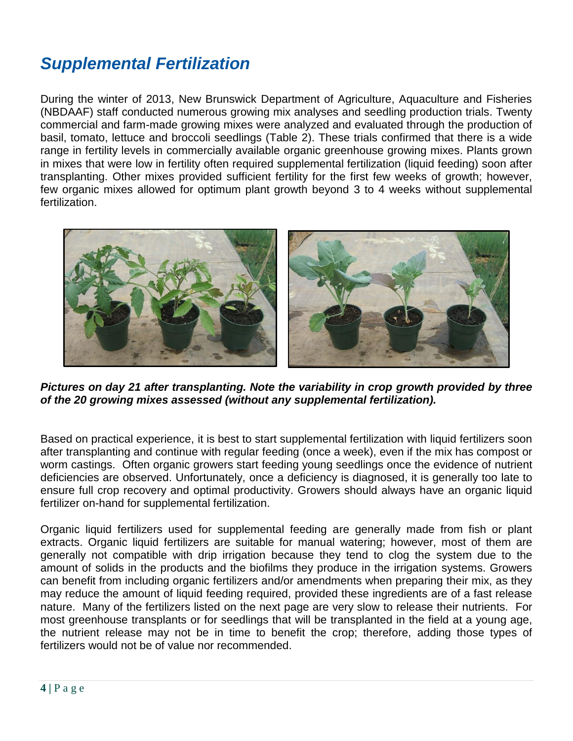# *Supplemental Fertilization*

During the winter of 2013, New Brunswick Department of Agriculture, Aquaculture and Fisheries (NBDAAF) staff conducted numerous growing mix analyses and seedling production trials. Twenty commercial and farm-made growing mixes were analyzed and evaluated through the production of basil, tomato, lettuce and broccoli seedlings (Table 2). These trials confirmed that there is a wide range in fertility levels in commercially available organic greenhouse growing mixes. Plants grown in mixes that were low in fertility often required supplemental fertilization (liquid feeding) soon after transplanting. Other mixes provided sufficient fertility for the first few weeks of growth; however, few organic mixes allowed for optimum plant growth beyond 3 to 4 weeks without supplemental fertilization.



*Pictures on day 21 after transplanting. Note the variability in crop growth provided by three of the 20 growing mixes assessed (without any supplemental fertilization).*

Based on practical experience, it is best to start supplemental fertilization with liquid fertilizers soon after transplanting and continue with regular feeding (once a week), even if the mix has compost or worm castings. Often organic growers start feeding young seedlings once the evidence of nutrient deficiencies are observed. Unfortunately, once a deficiency is diagnosed, it is generally too late to ensure full crop recovery and optimal productivity. Growers should always have an organic liquid fertilizer on-hand for supplemental fertilization.

Organic liquid fertilizers used for supplemental feeding are generally made from fish or plant extracts. Organic liquid fertilizers are suitable for manual watering; however, most of them are generally not compatible with drip irrigation because they tend to clog the system due to the amount of solids in the products and the biofilms they produce in the irrigation systems. Growers can benefit from including organic fertilizers and/or amendments when preparing their mix, as they may reduce the amount of liquid feeding required, provided these ingredients are of a fast release nature. Many of the fertilizers listed on the next page are very slow to release their nutrients. For most greenhouse transplants or for seedlings that will be transplanted in the field at a young age, the nutrient release may not be in time to benefit the crop; therefore, adding those types of fertilizers would not be of value nor recommended.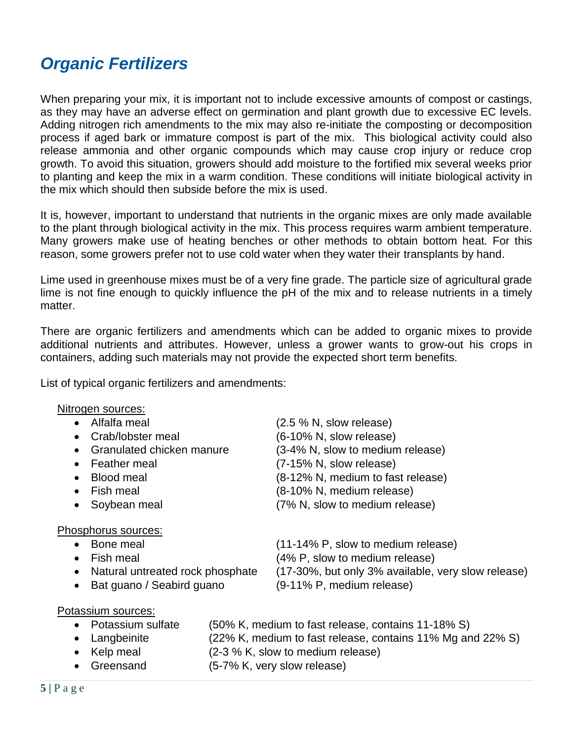## *Organic Fertilizers*

When preparing your mix, it is important not to include excessive amounts of compost or castings, as they may have an adverse effect on germination and plant growth due to excessive EC levels. Adding nitrogen rich amendments to the mix may also re-initiate the composting or decomposition process if aged bark or immature compost is part of the mix. This biological activity could also release ammonia and other organic compounds which may cause crop injury or reduce crop growth. To avoid this situation, growers should add moisture to the fortified mix several weeks prior to planting and keep the mix in a warm condition. These conditions will initiate biological activity in the mix which should then subside before the mix is used.

It is, however, important to understand that nutrients in the organic mixes are only made available to the plant through biological activity in the mix. This process requires warm ambient temperature. Many growers make use of heating benches or other methods to obtain bottom heat. For this reason, some growers prefer not to use cold water when they water their transplants by hand.

Lime used in greenhouse mixes must be of a very fine grade. The particle size of agricultural grade lime is not fine enough to quickly influence the pH of the mix and to release nutrients in a timely matter.

There are organic fertilizers and amendments which can be added to organic mixes to provide additional nutrients and attributes. However, unless a grower wants to grow-out his crops in containers, adding such materials may not provide the expected short term benefits.

List of typical organic fertilizers and amendments:

### Nitrogen sources:

| • Alfalfa meal              | (2.5 % N, slow release)             |
|-----------------------------|-------------------------------------|
| • Crab/lobster meal         | (6-10% N, slow release)             |
| • Granulated chicken manure | (3-4% N, slow to medium release)    |
| • Feather meal              | (7-15% N, slow release)             |
| • Blood meal                | (8-12% N, medium to fast release)   |
| المممم والملتان المنا       | $(0.400 \times 1$ modified relation |

- 
- 

### Phosphorus sources:

- 
- 
- 
- 
- Fish meal (8-10% N, medium release) Soybean meal (7% N, slow to medium release)
- Bone meal (11-14% P, slow to medium release) • Fish meal  $(4\% \text{ P}, \text{slow to medium release})$ • Natural untreated rock phosphate (17-30%, but only 3% available, very slow release)
- Bat guano / Seabird guano (9-11% P, medium release)

### Potassium sources:

| • Potassium sulfate | (50% K, medium to fast release, contains 11-18% S)         |
|---------------------|------------------------------------------------------------|
| • Langbeinite       | (22% K, medium to fast release, contains 11% Mg and 22% S) |

- Kelp meal  $(2-3 % K, slow to medium release)$
- Greensand (5-7% K, very slow release)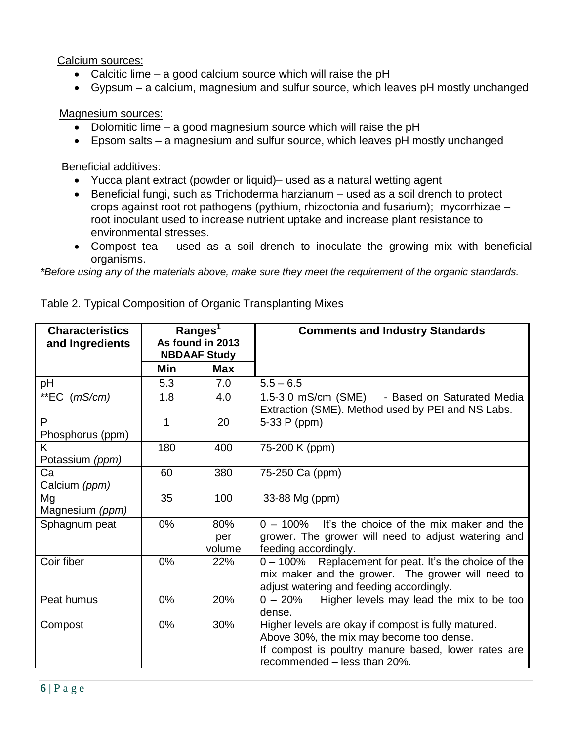Calcium sources:

- Calcitic lime a good calcium source which will raise the pH
- Gypsum a calcium, magnesium and sulfur source, which leaves pH mostly unchanged

Magnesium sources:

- Dolomitic lime a good magnesium source which will raise the pH
- Epsom salts a magnesium and sulfur source, which leaves pH mostly unchanged

Beneficial additives:

- Yucca plant extract (powder or liquid)– used as a natural wetting agent
- Beneficial fungi, such as Trichoderma harzianum used as a soil drench to protect crops against root rot pathogens (pythium, rhizoctonia and fusarium); mycorrhizae – root inoculant used to increase nutrient uptake and increase plant resistance to environmental stresses.
- Compost tea used as a soil drench to inoculate the growing mix with beneficial organisms.

*\*Before using any of the materials above, make sure they meet the requirement of the organic standards.*

| <b>Characteristics</b><br>and Ingredients | Ranges <sup>1</sup><br>As found in 2013<br><b>NBDAAF Study</b> |            | <b>Comments and Industry Standards</b>                                                                 |
|-------------------------------------------|----------------------------------------------------------------|------------|--------------------------------------------------------------------------------------------------------|
|                                           | Min                                                            | <b>Max</b> |                                                                                                        |
| pH                                        | 5.3                                                            | 7.0        | $5.5 - 6.5$                                                                                            |
| **EC $(mS/cm)$                            | 1.8                                                            | 4.0        | 1.5-3.0 mS/cm (SME)<br>- Based on Saturated Media<br>Extraction (SME). Method used by PEI and NS Labs. |
| P                                         | 1                                                              | 20         | 5-33 P (ppm)                                                                                           |
| Phosphorus (ppm)                          |                                                                |            |                                                                                                        |
| K                                         | 180                                                            | 400        | 75-200 K (ppm)                                                                                         |
| Potassium (ppm)                           |                                                                |            |                                                                                                        |
| Ca                                        | 60                                                             | 380        | 75-250 Ca (ppm)                                                                                        |
| Calcium (ppm)                             |                                                                |            |                                                                                                        |
| Mg                                        | 35                                                             | 100        | 33-88 Mg (ppm)                                                                                         |
| Magnesium (ppm)                           |                                                                |            |                                                                                                        |
| Sphagnum peat                             | 0%                                                             | 80%        | $0 - 100\%$ It's the choice of the mix maker and the                                                   |
|                                           |                                                                | per        | grower. The grower will need to adjust watering and                                                    |
|                                           |                                                                | volume     | feeding accordingly.                                                                                   |
| Coir fiber                                | 0%                                                             | 22%        | 0 - 100% Replacement for peat. It's the choice of the                                                  |
|                                           |                                                                |            | mix maker and the grower. The grower will need to                                                      |
|                                           |                                                                |            | adjust watering and feeding accordingly.                                                               |
| Peat humus                                | 0%                                                             | 20%        | Higher levels may lead the mix to be too<br>$0 - 20%$                                                  |
|                                           |                                                                |            | dense.                                                                                                 |
| Compost                                   | 0%                                                             | 30%        | Higher levels are okay if compost is fully matured.                                                    |
|                                           |                                                                |            | Above 30%, the mix may become too dense.                                                               |
|                                           |                                                                |            | If compost is poultry manure based, lower rates are                                                    |
|                                           |                                                                |            | recommended - less than 20%.                                                                           |

Table 2. Typical Composition of Organic Transplanting Mixes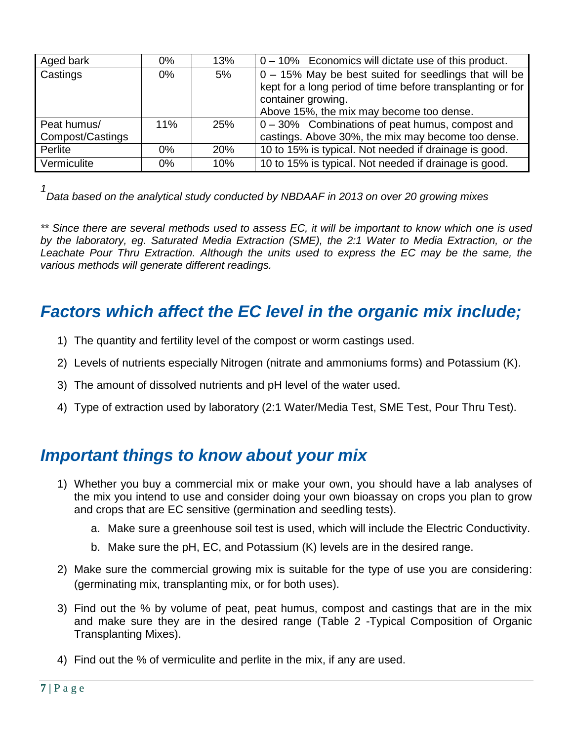| Aged bark        | $0\%$ | 13% | $0 - 10\%$ Economics will dictate use of this product.     |
|------------------|-------|-----|------------------------------------------------------------|
| Castings         | $0\%$ | 5%  | 0 - 15% May be best suited for seedlings that will be      |
|                  |       |     | kept for a long period of time before transplanting or for |
|                  |       |     | container growing.                                         |
|                  |       |     | Above 15%, the mix may become too dense.                   |
| Peat humus/      | 11%   | 25% | 0 - 30% Combinations of peat humus, compost and            |
| Compost/Castings |       |     | castings. Above 30%, the mix may become too dense.         |
| Perlite          | $0\%$ | 20% | 10 to 15% is typical. Not needed if drainage is good.      |
| Vermiculite      | $0\%$ | 10% | 10 to 15% is typical. Not needed if drainage is good.      |

*1*

*Data based on the analytical study conducted by NBDAAF in 2013 on over 20 growing mixes*

*\*\* Since there are several methods used to assess EC, it will be important to know which one is used by the laboratory, eg. Saturated Media Extraction (SME), the 2:1 Water to Media Extraction, or the Leachate Pour Thru Extraction. Although the units used to express the EC may be the same, the various methods will generate different readings.*

### *Factors which affect the EC level in the organic mix include;*

- 1) The quantity and fertility level of the compost or worm castings used.
- 2) Levels of nutrients especially Nitrogen (nitrate and ammoniums forms) and Potassium (K).
- 3) The amount of dissolved nutrients and pH level of the water used.
- 4) Type of extraction used by laboratory (2:1 Water/Media Test, SME Test, Pour Thru Test).

### *Important things to know about your mix*

- 1) Whether you buy a commercial mix or make your own, you should have a lab analyses of the mix you intend to use and consider doing your own bioassay on crops you plan to grow and crops that are EC sensitive (germination and seedling tests).
	- a. Make sure a greenhouse soil test is used, which will include the Electric Conductivity.
	- b. Make sure the pH, EC, and Potassium (K) levels are in the desired range.
- 2) Make sure the commercial growing mix is suitable for the type of use you are considering: (germinating mix, transplanting mix, or for both uses).
- 3) Find out the % by volume of peat, peat humus, compost and castings that are in the mix and make sure they are in the desired range (Table 2 -Typical Composition of Organic Transplanting Mixes).
- 4) Find out the % of vermiculite and perlite in the mix, if any are used.